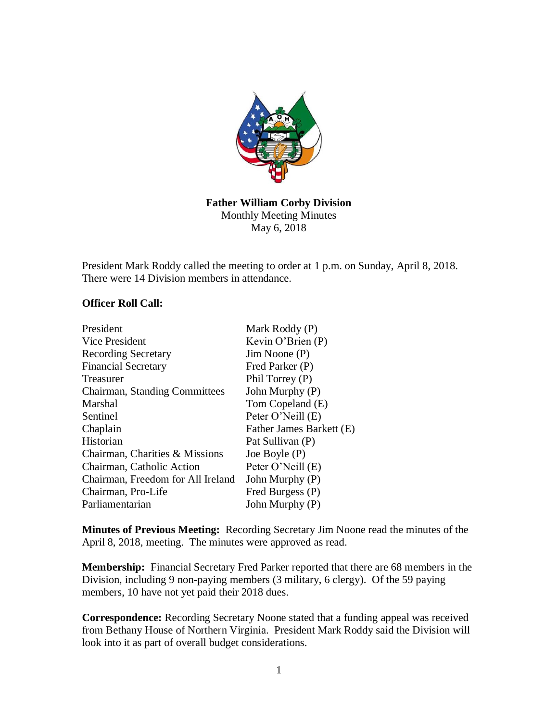

## **Father William Corby Division** Monthly Meeting Minutes May 6, 2018

President Mark Roddy called the meeting to order at 1 p.m. on Sunday, April 8, 2018. There were 14 Division members in attendance.

## **Officer Roll Call:**

| President                            | Mark Roddy (P)           |
|--------------------------------------|--------------------------|
| Vice President                       | Kevin O'Brien $(P)$      |
| <b>Recording Secretary</b>           | $Jim$ Noone $(P)$        |
| <b>Financial Secretary</b>           | Fred Parker (P)          |
| Treasurer                            | Phil Torrey (P)          |
| <b>Chairman, Standing Committees</b> | John Murphy (P)          |
| Marshal                              | Tom Copeland (E)         |
| Sentinel                             | Peter O'Neill (E)        |
| Chaplain                             | Father James Barkett (E) |
| Historian                            | Pat Sullivan (P)         |
| Chairman, Charities & Missions       | Joe Boyle $(P)$          |
| Chairman, Catholic Action            | Peter O'Neill (E)        |
| Chairman, Freedom for All Ireland    | John Murphy (P)          |
| Chairman, Pro-Life                   | Fred Burgess (P)         |
| Parliamentarian                      | John Murphy (P)          |

**Minutes of Previous Meeting:** Recording Secretary Jim Noone read the minutes of the April 8, 2018, meeting. The minutes were approved as read.

**Membership:** Financial Secretary Fred Parker reported that there are 68 members in the Division, including 9 non-paying members (3 military, 6 clergy). Of the 59 paying members, 10 have not yet paid their 2018 dues.

**Correspondence:** Recording Secretary Noone stated that a funding appeal was received from Bethany House of Northern Virginia. President Mark Roddy said the Division will look into it as part of overall budget considerations.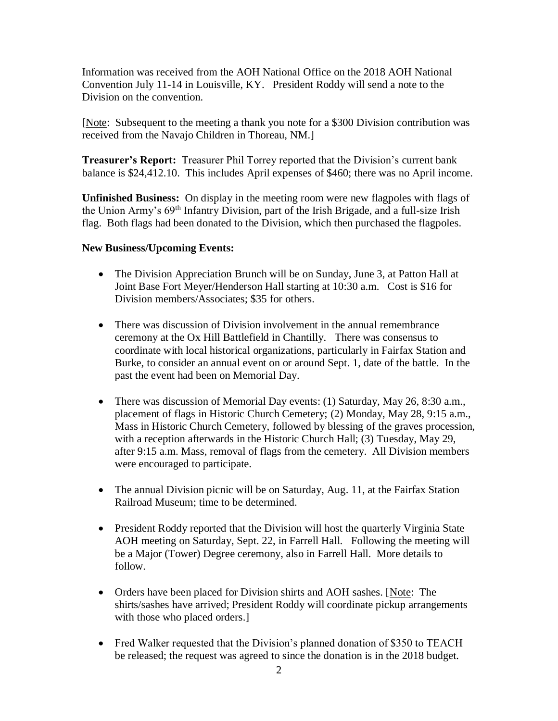Information was received from the AOH National Office on the 2018 AOH National Convention July 11-14 in Louisville, KY. President Roddy will send a note to the Division on the convention.

[Note: Subsequent to the meeting a thank you note for a \$300 Division contribution was received from the Navajo Children in Thoreau, NM.]

**Treasurer's Report:** Treasurer Phil Torrey reported that the Division's current bank balance is \$24,412.10. This includes April expenses of \$460; there was no April income.

**Unfinished Business:** On display in the meeting room were new flagpoles with flags of the Union Army's 69th Infantry Division, part of the Irish Brigade, and a full-size Irish flag. Both flags had been donated to the Division, which then purchased the flagpoles.

## **New Business/Upcoming Events:**

- The Division Appreciation Brunch will be on Sunday, June 3, at Patton Hall at Joint Base Fort Meyer/Henderson Hall starting at 10:30 a.m. Cost is \$16 for Division members/Associates; \$35 for others.
- There was discussion of Division involvement in the annual remembrance ceremony at the Ox Hill Battlefield in Chantilly. There was consensus to coordinate with local historical organizations, particularly in Fairfax Station and Burke, to consider an annual event on or around Sept. 1, date of the battle. In the past the event had been on Memorial Day.
- There was discussion of Memorial Day events: (1) Saturday, May 26, 8:30 a.m., placement of flags in Historic Church Cemetery; (2) Monday, May 28, 9:15 a.m., Mass in Historic Church Cemetery, followed by blessing of the graves procession, with a reception afterwards in the Historic Church Hall; (3) Tuesday, May 29, after 9:15 a.m. Mass, removal of flags from the cemetery. All Division members were encouraged to participate.
- The annual Division picnic will be on Saturday, Aug. 11, at the Fairfax Station Railroad Museum; time to be determined.
- President Roddy reported that the Division will host the quarterly Virginia State AOH meeting on Saturday, Sept. 22, in Farrell Hall. Following the meeting will be a Major (Tower) Degree ceremony, also in Farrell Hall. More details to follow.
- Orders have been placed for Division shirts and AOH sashes. [Note: The shirts/sashes have arrived; President Roddy will coordinate pickup arrangements with those who placed orders.
- Fred Walker requested that the Division's planned donation of \$350 to TEACH be released; the request was agreed to since the donation is in the 2018 budget.